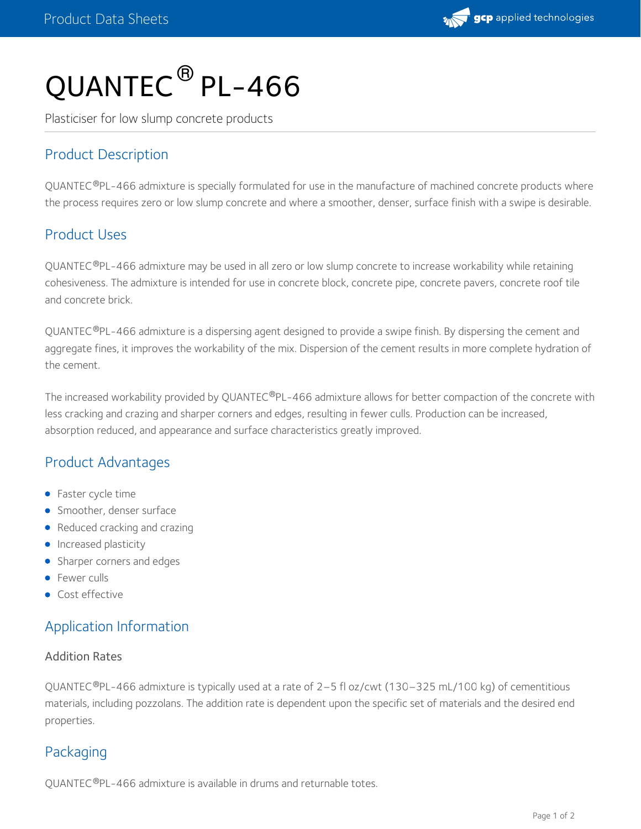

# QUANTEC ® PL-466

Plasticiser for low slump concrete products

## Product Description

QUANTEC®PL-466 admixture is specially formulated for use in the manufacture of machined concrete products where the process requires zero or low slump concrete and where a smoother, denser, surface finish with a swipe is desirable.

## Product Uses

QUANTEC®PL-466 admixture may be used in all zero or low slump concrete to increase workability while retaining cohesiveness. The admixture is intended for use in concrete block, concrete pipe, concrete pavers, concrete roof tile and concrete brick.

QUANTEC®PL-466 admixture is a dispersing agent designed to provide a swipe finish. By dispersing the cement and aggregate fines, it improves the workability of the mix. Dispersion of the cement results in more complete hydration of the cement.

The increased workability provided by QUANTEC®PL-466 admixture allows for better compaction of the concrete with less cracking and crazing and sharper corners and edges, resulting in fewer culls. Production can be increased, absorption reduced, and appearance and surface characteristics greatly improved.

## Product Advantages

- Faster cycle time
- **Smoother, denser surface**
- Reduced cracking and crazing
- **Increased plasticity**
- Sharper corners and edges
- **•** Fewer culls
- **Cost effective**

## Application Information

#### Addition Rates

QUANTEC®PL-466 admixture is typically used at a rate of 2–5 fl oz/cwt (130–325 mL/100 kg) of cementitious materials, including pozzolans. The addition rate is dependent upon the specific set of materials and the desired end properties.

## Packaging

QUANTEC®PL-466 admixture is available in drums and returnable totes.